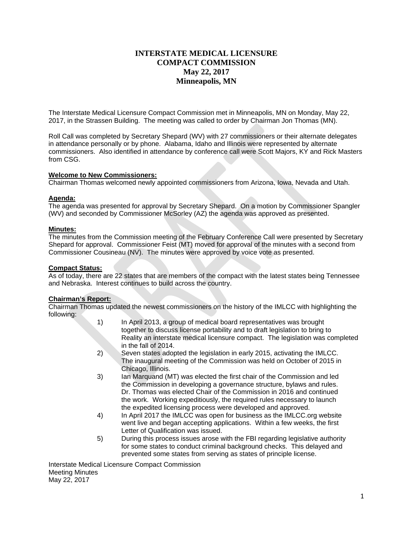# **INTERSTATE MEDICAL LICENSURE COMPACT COMMISSION May 22, 2017 Minneapolis, MN**

The Interstate Medical Licensure Compact Commission met in Minneapolis, MN on Monday, May 22, 2017, in the Strassen Building. The meeting was called to order by Chairman Jon Thomas (MN).

Roll Call was completed by Secretary Shepard (WV) with 27 commissioners or their alternate delegates in attendance personally or by phone. Alabama, Idaho and Illinois were represented by alternate commissioners. Also identified in attendance by conference call were Scott Majors, KY and Rick Masters from CSG.

# **Welcome to New Commissioners:**

Chairman Thomas welcomed newly appointed commissioners from Arizona, Iowa, Nevada and Utah.

# **Agenda:**

The agenda was presented for approval by Secretary Shepard. On a motion by Commissioner Spangler (WV) and seconded by Commissioner McSorley (AZ) the agenda was approved as presented.

# **Minutes:**

The minutes from the Commission meeting of the February Conference Call were presented by Secretary Shepard for approval. Commissioner Feist (MT) moved for approval of the minutes with a second from Commissioner Cousineau (NV). The minutes were approved by voice vote as presented.

# **Compact Status:**

As of today, there are 22 states that are members of the compact with the latest states being Tennessee and Nebraska. Interest continues to build across the country.

# **Chairman's Report:**

Chairman Thomas updated the newest commissioners on the history of the IMLCC with highlighting the following:

- 1) In April 2013, a group of medical board representatives was brought together to discuss license portability and to draft legislation to bring to Reality an interstate medical licensure compact. The legislation was completed in the fall of 2014.
- 2) Seven states adopted the legislation in early 2015, activating the IMLCC. The inaugural meeting of the Commission was held on October of 2015 in Chicago, Illinois.
- 3) Ian Marquand (MT) was elected the first chair of the Commission and led the Commission in developing a governance structure, bylaws and rules. Dr. Thomas was elected Chair of the Commission in 2016 and continued the work. Working expeditiously, the required rules necessary to launch the expedited licensing process were developed and approved.
- 4) In April 2017 the IMLCC was open for business as the IMLCC.org website went live and began accepting applications. Within a few weeks, the first Letter of Qualification was issued.
- 5) During this process issues arose with the FBI regarding legislative authority for some states to conduct criminal background checks. This delayed and prevented some states from serving as states of principle license.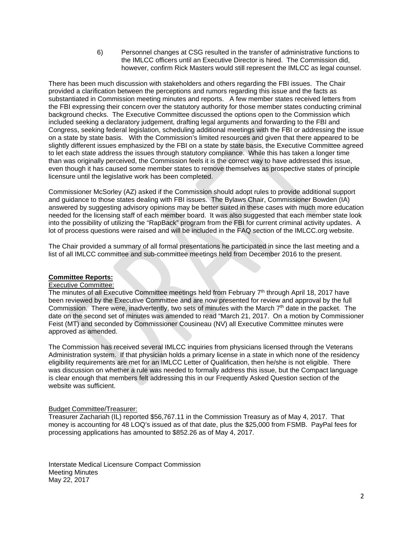6) Personnel changes at CSG resulted in the transfer of administrative functions to the IMLCC officers until an Executive Director is hired. The Commission did, however, confirm Rick Masters would still represent the IMLCC as legal counsel.

There has been much discussion with stakeholders and others regarding the FBI issues. The Chair provided a clarification between the perceptions and rumors regarding this issue and the facts as substantiated in Commission meeting minutes and reports. A few member states received letters from the FBI expressing their concern over the statutory authority for those member states conducting criminal background checks. The Executive Committee discussed the options open to the Commission which included seeking a declaratory judgement, drafting legal arguments and forwarding to the FBI and Congress, seeking federal legislation, scheduling additional meetings with the FBI or addressing the issue on a state by state basis. With the Commission's limited resources and given that there appeared to be slightly different issues emphasized by the FBI on a state by state basis, the Executive Committee agreed to let each state address the issues through statutory compliance. While this has taken a longer time than was originally perceived, the Commission feels it is the correct way to have addressed this issue, even though it has caused some member states to remove themselves as prospective states of principle licensure until the legislative work has been completed.

Commissioner McSorley (AZ) asked if the Commission should adopt rules to provide additional support and guidance to those states dealing with FBI issues. The Bylaws Chair, Commissioner Bowden (IA) answered by suggesting advisory opinions may be better suited in these cases with much more education needed for the licensing staff of each member board. It was also suggested that each member state look into the possibility of utilizing the "RapBack" program from the FBI for current criminal activity updates. A lot of process questions were raised and will be included in the FAQ section of the IMLCC.org website.

The Chair provided a summary of all formal presentations he participated in since the last meeting and a list of all IMLCC committee and sub-committee meetings held from December 2016 to the present.

# **Committee Reports:**

# Executive Committee:

The minutes of all Executive Committee meetings held from February 7<sup>th</sup> through April 18, 2017 have been reviewed by the Executive Committee and are now presented for review and approval by the full Commission. There were, inadvertently, two sets of minutes with the March  $7<sup>th</sup>$  date in the packet. The date on the second set of minutes was amended to read "March 21, 2017. On a motion by Commissioner Feist (MT) and seconded by Commissioner Cousineau (NV) all Executive Committee minutes were approved as amended.

The Commission has received several IMLCC inquiries from physicians licensed through the Veterans Administration system. If that physician holds a primary license in a state in which none of the residency eligibility requirements are met for an IMLCC Letter of Qualification, then he/she is not eligible. There was discussion on whether a rule was needed to formally address this issue, but the Compact language is clear enough that members felt addressing this in our Frequently Asked Question section of the website was sufficient.

# Budget Committee/Treasurer:

Treasurer Zachariah (IL) reported \$56,767.11 in the Commission Treasury as of May 4, 2017. That money is accounting for 48 LOQ's issued as of that date, plus the \$25,000 from FSMB. PayPal fees for processing applications has amounted to \$852.26 as of May 4, 2017.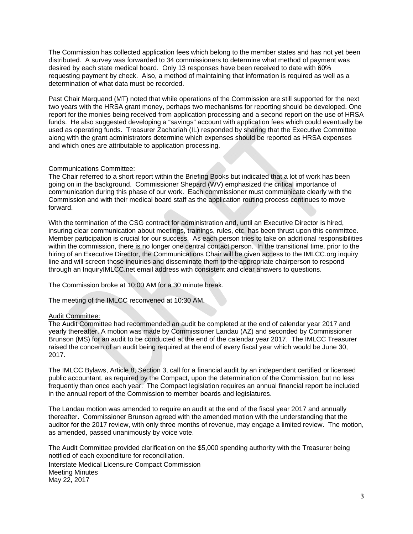The Commission has collected application fees which belong to the member states and has not yet been distributed. A survey was forwarded to 34 commissioners to determine what method of payment was desired by each state medical board. Only 13 responses have been received to date with 60% requesting payment by check. Also, a method of maintaining that information is required as well as a determination of what data must be recorded.

Past Chair Marquand (MT) noted that while operations of the Commission are still supported for the next two years with the HRSA grant money, perhaps two mechanisms for reporting should be developed. One report for the monies being received from application processing and a second report on the use of HRSA funds. He also suggested developing a "savings" account with application fees which could eventually be used as operating funds. Treasurer Zachariah (IL) responded by sharing that the Executive Committee along with the grant administrators determine which expenses should be reported as HRSA expenses and which ones are attributable to application processing.

# Communications Committee:

The Chair referred to a short report within the Briefing Books but indicated that a lot of work has been going on in the background. Commissioner Shepard (WV) emphasized the critical importance of communication during this phase of our work. Each commissioner must communicate clearly with the Commission and with their medical board staff as the application routing process continues to move forward.

With the termination of the CSG contract for administration and, until an Executive Director is hired, insuring clear communication about meetings, trainings, rules, etc. has been thrust upon this committee. Member participation is crucial for our success. As each person tries to take on additional responsibilities within the commission, there is no longer one central contact person. In the transitional time, prior to the hiring of an Executive Director, the Communications Chair will be given access to the IMLCC.org inquiry line and will screen those inquiries and disseminate them to the appropriate chairperson to respond through an InquiryIMLCC.net email address with consistent and clear answers to questions.

The Commission broke at 10:00 AM for a 30 minute break.

The meeting of the IMLCC reconvened at 10:30 AM.

# Audit Committee:

The Audit Committee had recommended an audit be completed at the end of calendar year 2017 and yearly thereafter. A motion was made by Commissioner Landau (AZ) and seconded by Commissioner Brunson (MS) for an audit to be conducted at the end of the calendar year 2017. The IMLCC Treasurer raised the concern of an audit being required at the end of every fiscal year which would be June 30, 2017.

The IMLCC Bylaws, Article 8, Section 3, call for a financial audit by an independent certified or licensed public accountant, as required by the Compact, upon the determination of the Commission, but no less frequently than once each year. The Compact legislation requires an annual financial report be included in the annual report of the Commission to member boards and legislatures.

The Landau motion was amended to require an audit at the end of the fiscal year 2017 and annually thereafter. Commissioner Brunson agreed with the amended motion with the understanding that the auditor for the 2017 review, with only three months of revenue, may engage a limited review. The motion, as amended, passed unanimously by voice vote.

Interstate Medical Licensure Compact Commission Meeting Minutes May 22, 2017 The Audit Committee provided clarification on the \$5,000 spending authority with the Treasurer being notified of each expenditure for reconciliation.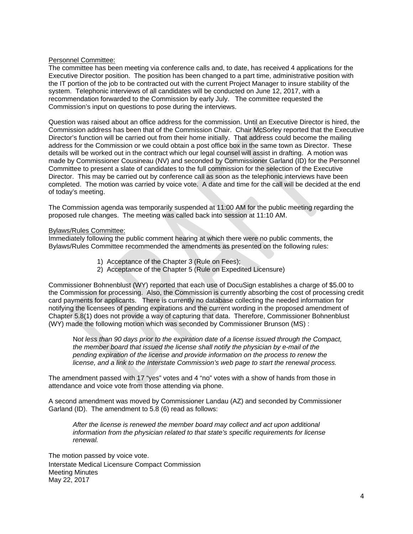# Personnel Committee:

The committee has been meeting via conference calls and, to date, has received 4 applications for the Executive Director position. The position has been changed to a part time, administrative position with the IT portion of the job to be contracted out with the current Project Manager to insure stability of the system. Telephonic interviews of all candidates will be conducted on June 12, 2017, with a recommendation forwarded to the Commission by early July. The committee requested the Commission's input on questions to pose during the interviews.

Question was raised about an office address for the commission. Until an Executive Director is hired, the Commission address has been that of the Commission Chair. Chair McSorley reported that the Executive Director's function will be carried out from their home initially. That address could become the mailing address for the Commission or we could obtain a post office box in the same town as Director. These details will be worked out in the contract which our legal counsel will assist in drafting. A motion was made by Commissioner Cousineau (NV) and seconded by Commissioner Garland (ID) for the Personnel Committee to present a slate of candidates to the full commission for the selection of the Executive Director. This may be carried out by conference call as soon as the telephonic interviews have been completed. The motion was carried by voice vote. A date and time for the call will be decided at the end of today's meeting.

The Commission agenda was temporarily suspended at 11:00 AM for the public meeting regarding the proposed rule changes. The meeting was called back into session at 11:10 AM.

#### Bylaws/Rules Committee:

Immediately following the public comment hearing at which there were no public comments, the Bylaws/Rules Committee recommended the amendments as presented on the following rules:

- 1) Acceptance of the Chapter 3 (Rule on Fees);
- 2) Acceptance of the Chapter 5 (Rule on Expedited Licensure)

Commissioner Bohnenblust (WY) reported that each use of DocuSign establishes a charge of \$5.00 to the Commission for processing. Also, the Commission is currently absorbing the cost of processing credit card payments for applicants. There is currently no database collecting the needed information for notifying the licensees of pending expirations and the current wording in the proposed amendment of Chapter 5.8(1) does not provide a way of capturing that data. Therefore, Commissioner Bohnenblust (WY) made the following motion which was seconded by Commissioner Brunson (MS) :

 N*ot less than 90 days prior to the expiration date of a license issued through the Compact, the member board that issued the license shall notify the physician by e-mail of the pending expiration of the license and provide information on the process to renew the license, and a link to the Interstate Commission's web page to start the renewal process.* 

The amendment passed with 17 "yes" votes and 4 "no" votes with a show of hands from those in attendance and voice vote from those attending via phone.

A second amendment was moved by Commissioner Landau (AZ) and seconded by Commissioner Garland (ID). The amendment to 5.8 (6) read as follows:

*After the license is renewed the member board may collect and act upon additional information from the physician related to that state's specific requirements for license renewal.*

Interstate Medical Licensure Compact Commission Meeting Minutes May 22, 2017 The motion passed by voice vote.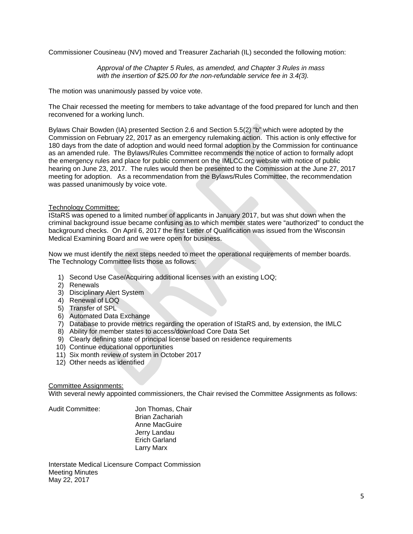Commissioner Cousineau (NV) moved and Treasurer Zachariah (IL) seconded the following motion:

 *Approval of the Chapter 5 Rules, as amended, and Chapter 3 Rules in mass with the insertion of \$25.00 for the non-refundable service fee in 3.4(3).* 

The motion was unanimously passed by voice vote.

The Chair recessed the meeting for members to take advantage of the food prepared for lunch and then reconvened for a working lunch.

Bylaws Chair Bowden (IA) presented Section 2.6 and Section 5.5(2) "b" which were adopted by the Commission on February 22, 2017 as an emergency rulemaking action. This action is only effective for 180 days from the date of adoption and would need formal adoption by the Commission for continuance as an amended rule. The Bylaws/Rules Committee recommends the notice of action to formally adopt the emergency rules and place for public comment on the IMLCC.org website with notice of public hearing on June 23, 2017. The rules would then be presented to the Commission at the June 27, 2017 meeting for adoption. As a recommendation from the Bylaws/Rules Committee, the recommendation was passed unanimously by voice vote.

# Technology Committee:

IStaRS was opened to a limited number of applicants in January 2017, but was shut down when the criminal background issue became confusing as to which member states were "authorized" to conduct the background checks. On April 6, 2017 the first Letter of Qualification was issued from the Wisconsin Medical Examining Board and we were open for business.

Now we must identify the next steps needed to meet the operational requirements of member boards. The Technology Committee lists those as follows:

- 1) Second Use Case/Acquiring additional licenses with an existing LOQ;
- 2) Renewals
- 3) Disciplinary Alert System
- 4) Renewal of LOQ
- 5) Transfer of SPL
- 6) Automated Data Exchange
- 7) Database to provide metrics regarding the operation of IStaRS and, by extension, the IMLC
- 8) Ability for member states to access/download Core Data Set
- 9) Clearly defining state of principal license based on residence requirements
- 10) Continue educational opportunities
- 11) Six month review of system in October 2017
- 12) Other needs as identified

# Committee Assignments:

With several newly appointed commissioners, the Chair revised the Committee Assignments as follows:

Audit Committee: Jon Thomas, Chair

 Brian Zachariah Anne MacGuire Jerry Landau Erich Garland Larry Marx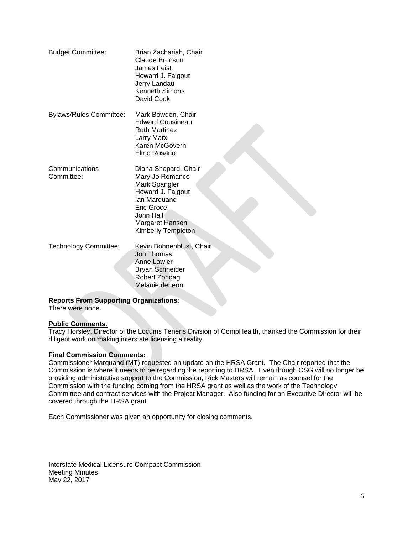| <b>Budget Committee:</b>                                  | Brian Zachariah, Chair<br><b>Claude Brunson</b><br>James Feist<br>Howard J. Falgout<br>Jerry Landau<br><b>Kenneth Simons</b><br>David Cook                        |
|-----------------------------------------------------------|-------------------------------------------------------------------------------------------------------------------------------------------------------------------|
| <b>Bylaws/Rules Committee:</b>                            | Mark Bowden, Chair<br><b>Edward Cousineau</b><br><b>Ruth Martinez</b><br>Larry Marx<br>Karen McGovern<br>Elmo Rosario                                             |
| Communications<br>Committee:                              | Diana Shepard, Chair<br>Mary Jo Romanco<br>Mark Spangler<br>Howard J. Falgout<br>lan Marquand<br>Eric Groce<br>John Hall<br>Margaret Hansen<br>Kimberly Templeton |
| <b>Technology Committee:</b>                              | Kevin Bohnenblust, Chair<br>Jon Thomas<br><b>Anne Lawler</b><br><b>Bryan Schneider</b><br>Robert Zondag<br>Melanie deLeon                                         |
| suling Overningtiana<br>$\mathbf{a}$ Example $\mathbf{c}$ |                                                                                                                                                                   |

# **Reports From Supporting Organizations**:

There were none.

# **Public Comments**:

Tracy Horsley, Director of the Locums Tenens Division of CompHealth, thanked the Commission for their diligent work on making interstate licensing a reality.

# **Final Commission Comments:**

Commissioner Marquand (MT) requested an update on the HRSA Grant. The Chair reported that the Commission is where it needs to be regarding the reporting to HRSA. Even though CSG will no longer be providing administrative support to the Commission, Rick Masters will remain as counsel for the Commission with the funding coming from the HRSA grant as well as the work of the Technology Committee and contract services with the Project Manager. Also funding for an Executive Director will be covered through the HRSA grant.

Each Commissioner was given an opportunity for closing comments.